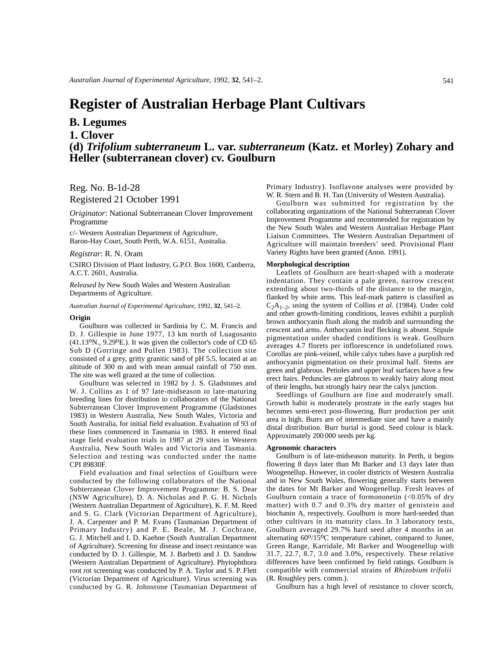# **Register of Australian Herbage Plant Cultivars**

# **B. Legumes**

**1. Clover**

**(d)** *Trifolium subterraneum* **L. var.** *subterraneum* **(Katz. et Morley) Zohary and Heller (subterranean clover) cv. Goulburn**

Reg. No. B-1d-28 Registered 21 October 1991

*Originator*: National Subterranean Clover Improvement Programme

c/- Western Australian Department of Agriculture, Baron-Hay Court, South Perth, W.A. 6151, Australia.

## *Registrar*: R. N. Oram

CSIRO Division of Plant Industry, G.P.O. Box 1600, Canberra, A.C.T. 2601, Australia.

*Released by* New South Wales and Western Australian Departments of Agriculture.

*Australian Journal of Experimental Agriculture*, 1992, **32**, 541–2.

#### **Origin**

Goulburn was collected in Sardinia by C. M. Francis and D. J. Gillespie in June 1977, 13 km north of Luagosanto (41.13oN., 9.29oE.). It was given the collector's code of CD 65 Sub D (Gorringe and Pullen 1983). The collection site consisted of a grey, gritty granitic sand of pH 5.5, located at an altitude of 300 m and with mean annual rainfall of 750 mm. The site was well grazed at the time of collection.

Goulburn was selected in 1982 by J. S. Gladstones and W. J. Collins as 1 of 97 late-midseason to late-maturing breeding lines for distribution to collaborators of the National Subterranean Clover Improvement Programme (Gladstones 1983) in Western Australia, New South Wales, Victoria and South Australia, for initial field evaluation. Evaluation of 93 of these lines commenced in Tasmania in 1983. It entered final stage field evaluation trials in 1987 at 29 sites in Western Australia, New South Wales and Victoria and Tasmania. Selection and testing was conducted under the name CPI 89830F.

Field evaluation and final selection of Goulburn were conducted by the following collaborators of the National Subterranean Clover Improvement Programme: B. S. Dear (NSW Agriculture), D. A. Nicholas and P. G. H. Nichols (Western Australian Department of Agriculture), K. F. M. Reed and S. G. Clark (Victorian Department of Agriculture), J. A. Carpenter and P. M. Evans (Tasmanian Department of Primary Industry) and P. E. Beale, M. J. Cochrane, G. J. Mitchell and I. D. Kaehne (South Australian Department of Agriculture). Screening for disease and insect resistance was conducted by D. J. Gillespie, M. J. Barbetti and J. D. Sandow (Western Australian Department of Agriculture). Phytophthora root rot screening was conducted by P. A. Taylor and S. P. Flett (Victorian Department of Agriculture). Virus screening was conducted by G. R. Johnstone (Tasmanian Department of Primary Industry). Isoflavone analyses were provided by W. R. Stern and B. H. Tan (University of Western Australia).

Goulburn was submitted for registration by the collaborating organizations of the National Subterranean Clover Improvement Programme and recommended for registration by the New South Wales and Western Australian Herbage Plant Liaison Committees. The Western Australian Department of Agriculture will maintain breeders' seed. Provisional Plant Variety Rights have been granted (Anon. 1991).

## **Morphological description**

Leaflets of Goulburn are heart-shaped with a moderate indentation. They contain a pale green, narrow crescent extending about two-thirds of the distance to the margin, flanked by white arms. This leaf-mark pattern is classified as C2A1–2, using the system of Collins *et al*. (1984). Under cold and other growth-limiting conditions, leaves exhibit a purplish brown anthocyanin flush along the midrib and surrounding the crescent and arms. Anthocyanin leaf flecking is absent. Stipule pigmentation under shaded conditions is weak. Goulburn averages 4.7 florets per inflorescence in undefoliated rows. Corollas are pink-veined, while calyx tubes have a purplish red anthocyanin pigmentation on their proximal half. Stems are green and glabrous. Petioles and upper leaf surfaces have a few erect hairs. Peduncles are glabrous to weakly hairy along most of their lengths, but strongly hairy near the calyx junction.

Seedlings of Goulburn are fine and moderately small. Growth habit is moderately prostrate in the early stages but becomes semi-erect post-flowering. Burr production per unit area is high. Burrs are of intermediate size and have a mainly distal distribution. Burr burial is good. Seed colour is black. Approximately 200 000 seeds per kg.

## **Agronomic characters**

Goulburn is of late-midseason maturity. In Perth, it begins flowering 8 days later than Mt Barker and 13 days later than Woogenellup. However, in cooler districts of Western Australia and in New South Wales, flowering generally starts between the dates for Mt Barker and Woogenellup. Fresh leaves of Goulburn contain a trace of formononetin  $(<0.05\%$  of dry matter) with 0.7 and 0.3% dry matter of genistein and biochanin A, respectively. Goulburn is more hard-seeded than other cultivars in its maturity class. In 3 laboratory tests, Goulburn averaged 29.7% hard seed after 4 months in an alternating 60<sup>o</sup>/15<sup>o</sup>C temperature cabinet, compared to Junee, Green Range, Karridale, Mt Barker and Woogenellup with 31.7, 22.7, 8.7, 3.0 and 3.0%, respectively. These relative differences have been confirmed by field ratings. Goulburn is compatible with commercial strains of *Rhizobium trifolii* (R. Roughley pers. comm.).

Goulburn has a high level of resistance to clover scorch,